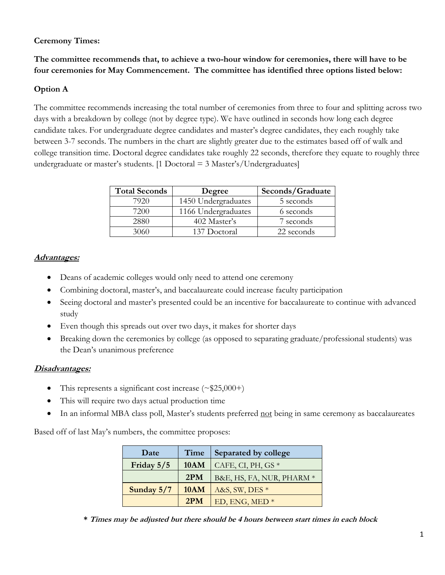## **Ceremony Times:**

**The committee recommends that, to achieve a two-hour window for ceremonies, there will have to be four ceremonies for May Commencement. The committee has identified three options listed below:**

## **Option A**

The committee recommends increasing the total number of ceremonies from three to four and splitting across two days with a breakdown by college (not by degree type). We have outlined in seconds how long each degree candidate takes. For undergraduate degree candidates and master's degree candidates, they each roughly take between 3-7 seconds. The numbers in the chart are slightly greater due to the estimates based off of walk and college transition time. Doctoral degree candidates take roughly 22 seconds, therefore they equate to roughly three undergraduate or master's students. [1 Doctoral  $=$  3 Master's/Undergraduates]

| <b>Total Seconds</b> | Degree              | Seconds/Graduate |
|----------------------|---------------------|------------------|
| 7920                 | 1450 Undergraduates | 5 seconds        |
| 7200                 | 1166 Undergraduates | 6 seconds        |
| 2880                 | 402 Master's        | 7 seconds        |
| 3060                 | 137 Doctoral        | 22 seconds       |

## **Advantages:**

- Deans of academic colleges would only need to attend one ceremony
- Combining doctoral, master's, and baccalaureate could increase faculty participation
- Seeing doctoral and master's presented could be an incentive for baccalaureate to continue with advanced study
- Even though this spreads out over two days, it makes for shorter days
- Breaking down the ceremonies by college (as opposed to separating graduate/professional students) was the Dean's unanimous preference

## **Disadvantages:**

- This represents a significant cost increase  $(\sim $25,000+)$
- This will require two days actual production time
- In an informal MBA class poll, Master's students preferred not being in same ceremony as baccalaureates

Based off of last May's numbers, the committee proposes:

| Date         | Time        | Separated by college      |
|--------------|-------------|---------------------------|
| Friday 5/5   | <b>10AM</b> | CAFE, CI, PH, GS $*$      |
|              | 2PM         | B&E, HS, FA, NUR, PHARM * |
| Sunday $5/7$ | 10AM        | A&S, SW, DES *            |
|              | 2PM         | ED, ENG, MED <sup>*</sup> |

**\* Times may be adjusted but there should be 4 hours between start times in each block**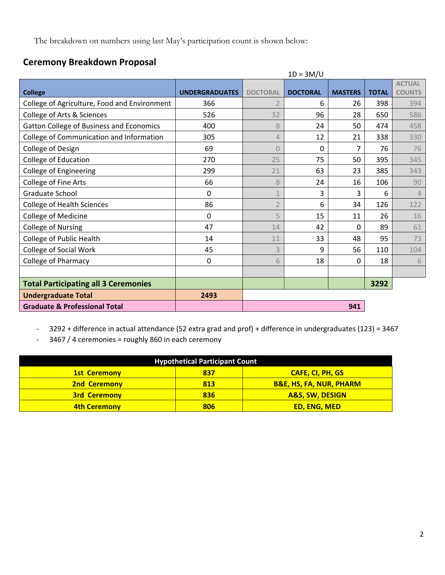The breakdown on numbers using last May's participation count is shown below:

## **Ceremony Breakdown Proposal**

|                                              |                       |                 | $1D = 3M/U$     |                |              |                |
|----------------------------------------------|-----------------------|-----------------|-----------------|----------------|--------------|----------------|
|                                              |                       |                 |                 |                |              | <b>ACTUAL</b>  |
| <b>College</b>                               | <b>UNDERGRADUATES</b> | <b>DOCTORAL</b> | <b>DOCTORAL</b> | <b>MASTERS</b> | <b>TOTAL</b> | <b>COUNTS</b>  |
| College of Agriculture, Food and Environment | 366                   |                 | 6               | 26             | 398          | 394            |
| College of Arts & Sciences                   | 526                   | 32              | 96              | 28             | 650          | 586            |
| Gatton College of Business and Economics     | 400                   | 8               | 24              | 50             | 474          | 458            |
| College of Communication and Information     | 305                   | 4               | 12              | 21             | 338          | 330            |
| College of Design                            | 69                    | $\overline{0}$  | 0               | 7              | 76           | 76             |
| <b>College of Education</b>                  | 270                   | 25              | 75              | 50             | 395          | 345            |
| <b>College of Engineering</b>                | 299                   | 21              | 63              | 23             | 385          | 343            |
| College of Fine Arts                         | 66                    | 8               | 24              | 16             | 106          | 90             |
| Graduate School                              | 0                     | $\mathbf{1}$    | 3               | 3              | 6            | $\overline{4}$ |
| <b>College of Health Sciences</b>            | 86                    |                 | 6               | 34             | 126          | 122            |
| <b>College of Medicine</b>                   | $\Omega$              | 5               | 15              | 11             | 26           | 16             |
| <b>College of Nursing</b>                    | 47                    | 14              | 42              | 0              | 89           | 61             |
| College of Public Health                     | 14                    | 11              | 33              | 48             | 95           | 73             |
| College of Social Work                       | 45                    | 3               | 9               | 56             | 110          | 104            |
| <b>College of Pharmacy</b>                   | 0                     | 6               | 18              | 0              | 18           | 6              |
|                                              |                       |                 |                 |                |              |                |
| <b>Total Participating all 3 Ceremonies</b>  |                       |                 |                 |                | 3292         |                |
| <b>Undergraduate Total</b>                   | 2493                  |                 |                 |                |              |                |
| <b>Graduate &amp; Professional Total</b>     |                       |                 |                 | 941            |              |                |

- 3292 + difference in actual attendance (52 extra grad and prof) + difference in undergraduates (123) = 3467

- 3467 / 4 ceremonies = roughly 860 in each ceremony

| <b>Hypothetical Participant Count</b> |     |                                    |
|---------------------------------------|-----|------------------------------------|
| <b>1st Ceremony</b>                   | 837 | <b>CAFE, CI, PH, GS</b>            |
| <b>2nd Ceremony</b>                   | 813 | <b>B&amp;E, HS, FA, NUR, PHARM</b> |
| <b>3rd Ceremony</b>                   | 836 | <b>A&amp;S, SW, DESIGN</b>         |
| <b>4th Ceremony</b>                   | 806 | <b>ED, ENG, MED</b>                |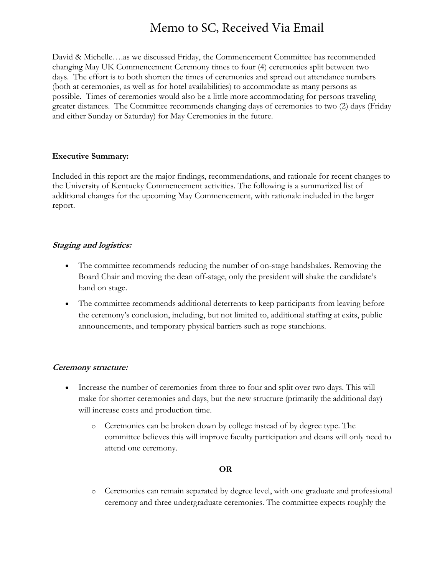# Memo to SC, Received Via Email

David & Michelle….as we discussed Friday, the Commencement Committee has recommended changing May UK Commencement Ceremony times to four (4) ceremonies split between two days. The effort is to both shorten the times of ceremonies and spread out attendance numbers (both at ceremonies, as well as for hotel availabilities) to accommodate as many persons as possible. Times of ceremonies would also be a little more accommodating for persons traveling greater distances. The Committee recommends changing days of ceremonies to two (2) days (Friday and either Sunday or Saturday) for May Ceremonies in the future.

#### **Executive Summary:**

Included in this report are the major findings, recommendations, and rationale for recent changes to the University of Kentucky Commencement activities. The following is a summarized list of additional changes for the upcoming May Commencement, with rationale included in the larger report.

#### **Staging and logistics:**

- The committee recommends reducing the number of on-stage handshakes. Removing the Board Chair and moving the dean off-stage, only the president will shake the candidate's hand on stage.
- The committee recommends additional deterrents to keep participants from leaving before the ceremony's conclusion, including, but not limited to, additional staffing at exits, public announcements, and temporary physical barriers such as rope stanchions.

## **Ceremony structure:**

- Increase the number of ceremonies from three to four and split over two days. This will make for shorter ceremonies and days, but the new structure (primarily the additional day) will increase costs and production time.
	- o Ceremonies can be broken down by college instead of by degree type. The committee believes this will improve faculty participation and deans will only need to attend one ceremony.

#### **OR**

o Ceremonies can remain separated by degree level, with one graduate and professional ceremony and three undergraduate ceremonies. The committee expects roughly the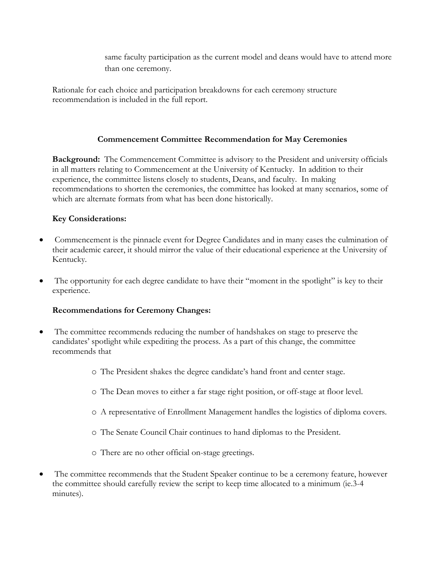same faculty participation as the current model and deans would have to attend more than one ceremony.

Rationale for each choice and participation breakdowns for each ceremony structure recommendation is included in the full report.

## **Commencement Committee Recommendation for May Ceremonies**

**Background:** The Commencement Committee is advisory to the President and university officials in all matters relating to Commencement at the University of Kentucky. In addition to their experience, the committee listens closely to students, Deans, and faculty. In making recommendations to shorten the ceremonies, the committee has looked at many scenarios, some of which are alternate formats from what has been done historically.

## **Key Considerations:**

- Commencement is the pinnacle event for Degree Candidates and in many cases the culmination of their academic career, it should mirror the value of their educational experience at the University of Kentucky.
- The opportunity for each degree candidate to have their "moment in the spotlight" is key to their experience.

## **Recommendations for Ceremony Changes:**

- The committee recommends reducing the number of handshakes on stage to preserve the candidates' spotlight while expediting the process. As a part of this change, the committee recommends that
	- o The President shakes the degree candidate's hand front and center stage.
	- o The Dean moves to either a far stage right position, or off-stage at floor level.
	- o A representative of Enrollment Management handles the logistics of diploma covers.
	- o The Senate Council Chair continues to hand diplomas to the President.
	- o There are no other official on-stage greetings.
- The committee recommends that the Student Speaker continue to be a ceremony feature, however the committee should carefully review the script to keep time allocated to a minimum (ie.3-4 minutes).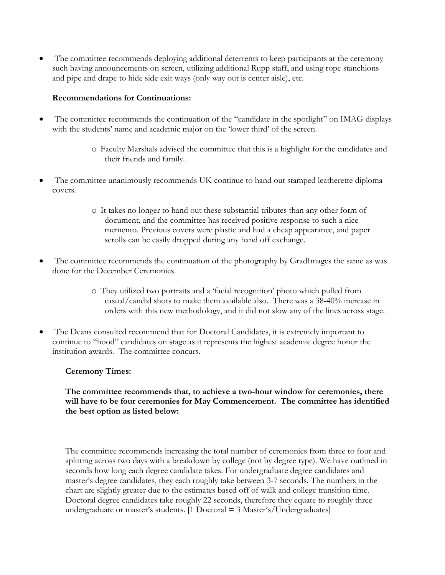The committee recommends deploying additional deterrents to keep participants at the ceremony such having announcements on screen, utilizing additional Rupp staff, and using rope stanchions and pipe and drape to hide side exit ways (only way out is center aisle), etc.

## **Recommendations for Continuations:**

- The committee recommends the continuation of the "candidate in the spotlight" on IMAG displays with the students' name and academic major on the 'lower third' of the screen.
	- o Faculty Marshals advised the committee that this is a highlight for the candidates and their friends and family.
- The committee unanimously recommends UK continue to hand out stamped leatherette diploma covers.
	- o It takes no longer to hand out these substantial tributes than any other form of document, and the committee has received positive response to such a nice memento. Previous covers were plastic and had a cheap appearance, and paper scrolls can be easily dropped during any hand off exchange.
- The committee recommends the continuation of the photography by GradImages the same as was done for the December Ceremonies.
	- o They utilized two portraits and a 'facial recognition' photo which pulled from casual/candid shots to make them available also. There was a 38-40% increase in orders with this new methodology, and it did not slow any of the lines across stage.
- The Deans consulted recommend that for Doctoral Candidates, it is extremely important to continue to "hood" candidates on stage as it represents the highest academic degree honor the institution awards. The committee concurs.

#### **Ceremony Times:**

## **The committee recommends that, to achieve a two-hour window for ceremonies, there will have to be four ceremonies for May Commencement. The committee has identified the best option as listed below:**

The committee recommends increasing the total number of ceremonies from three to four and splitting across two days with a breakdown by college (not by degree type). We have outlined in seconds how long each degree candidate takes. For undergraduate degree candidates and master's degree candidates, they each roughly take between 3-7 seconds. The numbers in the chart are slightly greater due to the estimates based off of walk and college transition time. Doctoral degree candidates take roughly 22 seconds, therefore they equate to roughly three undergraduate or master's students. [1 Doctoral = 3 Master's/Undergraduates]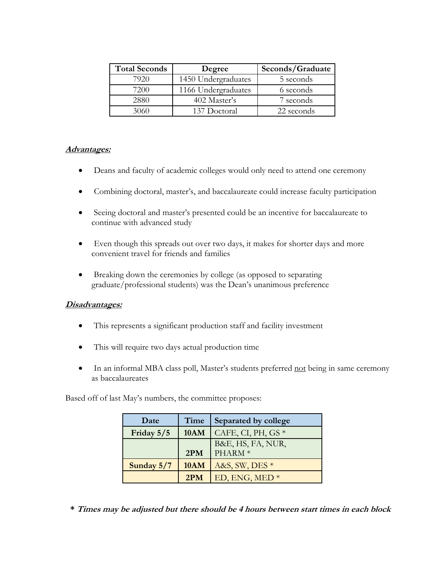| <b>Total Seconds</b> | Degree              | Seconds/Graduate |  |
|----------------------|---------------------|------------------|--|
| 7920                 | 1450 Undergraduates | 5 seconds        |  |
| 7200                 | 1166 Undergraduates | 6 seconds        |  |
| 2880                 | 402 Master's        | 7 seconds        |  |
|                      | 137 Doctoral        | 22 seconds       |  |

## **Advantages:**

- Deans and faculty of academic colleges would only need to attend one ceremony
- Combining doctoral, master's, and baccalaureate could increase faculty participation
- Seeing doctoral and master's presented could be an incentive for baccalaureate to continue with advanced study
- Even though this spreads out over two days, it makes for shorter days and more convenient travel for friends and families
- Breaking down the ceremonies by college (as opposed to separating graduate/professional students) was the Dean's unanimous preference

## **Disadvantages:**

- This represents a significant production staff and facility investment
- This will require two days actual production time
- In an informal MBA class poll, Master's students preferred not being in same ceremony as baccalaureates

Based off of last May's numbers, the committee proposes:

| Date       | Time        | Separated by college |
|------------|-------------|----------------------|
| Friday 5/5 | 10AM        | CAFE, CI, PH, GS $*$ |
|            |             | B&E, HS, FA, NUR,    |
|            | 2PM         | PHARM <sup>*</sup>   |
| Sunday 5/7 | <b>10AM</b> | A&S, SW, DES *       |
|            | 2PM         | ED, ENG, MED $*$     |

**\* Times may be adjusted but there should be 4 hours between start times in each block**